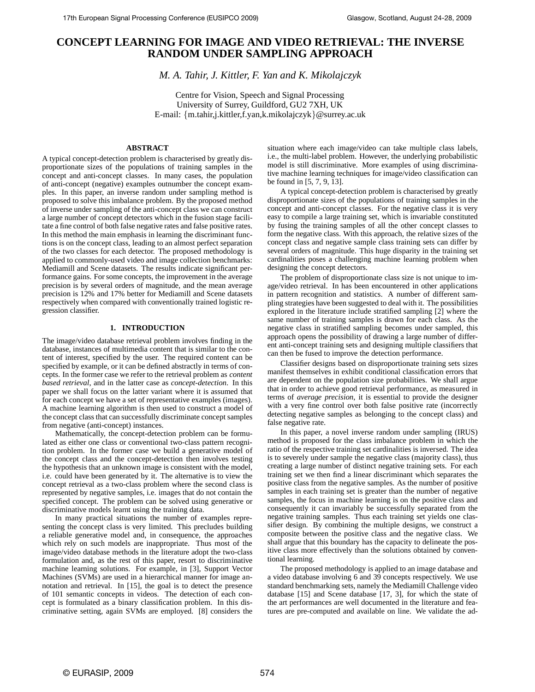# **CONCEPT LEARNING FOR IMAGE AND VIDEO RETRIEVAL: THE INVERSE RANDOM UNDER SAMPLING APPROACH**

*M. A. Tahir, J. Kittler, F. Yan and K. Mikolajczyk*

Centre for Vision, Speech and Signal Processing University of Surrey, Guildford, GU2 7XH, UK E-mail: {m.tahir,j.kittler,f.yan,k.mikolajczyk}@surrey.ac.uk

# **ABSTRACT**

A typical concept-detection problem is characterised by greatly disproportionate sizes of the populations of training samples in the concept and anti-concept classes. In many cases, the population of anti-concept (negative) examples outnumber the concept examples. In this paper, an inverse random under sampling method is proposed to solve this imbalance problem. By the proposed method of inverse under sampling of the anti-concept class we can construct a large number of concept detectors which in the fusion stage facilitate a fine control of both false negative rates and false positive rates. In this method the main emphasis in learning the discriminant functions is on the concept class, leading to an almost perfect separation of the two classes for each detector. The proposed methodology is applied to commonly-used video and image collection benchmarks: Mediamill and Scene datasets. The results indicate significant performance gains. For some concepts, the improvement in the average precision is by several orders of magnitude, and the mean average precision is 12% and 17% better for Mediamill and Scene datasets respectively when compared with conventionally trained logistic regression classifier.

# **1. INTRODUCTION**

The image/video database retrieval problem involves finding in the database, instances of multimedia content that is similar to the content of interest, specified by the user. The required content can be specified by example, or it can be defined abstractly in terms of concepts. In the former case we refer to the retrieval problem as *content based retrieval*, and in the latter case as *concept-detection*. In this paper we shall focus on the latter variant where it is assumed that for each concept we have a set of representative examples (images). A machine learning algorithm is then used to construct a model of the concept class that can successfully discriminate concept samples from negative (anti-concept) instances.

Mathematically, the concept-detection problem can be formulated as either one class or conventional two-class pattern recognition problem. In the former case we build a generative model of the concept class and the concept-detection then involves testing the hypothesis that an unknown image is consistent with the model, i.e. could have been generated by it. The alternative is to view the concept retrieval as a two-class problem where the second class is represented by negative samples, i.e. images that do not contain the specified concept. The problem can be solved using generative or discriminative models learnt using the training data.

In many practical situations the number of examples representing the concept class is very limited. This precludes building a reliable generative model and, in consequence, the approaches which rely on such models are inappropriate. Thus most of the image/video database methods in the literature adopt the two-class formulation and, as the rest of this paper, resort to discriminative machine learning solutions. For example, in [3], Support Vector Machines (SVMs) are used in a hierarchical manner for image annotation and retrieval. In [15], the goal is to detect the presence of 101 semantic concepts in videos. The detection of each concept is formulated as a binary classification problem. In this discriminative setting, again SVMs are employed. [8] considers the

situation where each image/video can take multiple class labels, i.e., the multi-label problem. However, the underlying probabilistic model is still discriminative. More examples of using discriminative machine learning techniques for image/video classification can be found in [5, 7, 9, 13].

A typical concept-detection problem is characterised by greatly disproportionate sizes of the populations of training samples in the concept and anti-concept classes. For the negative class it is very easy to compile a large training set, which is invariable constituted by fusing the training samples of all the other concept classes to form the negative class. With this approach, the relative sizes of the concept class and negative sample class training sets can differ by several orders of magnitude. This huge disparity in the training set cardinalities poses a challenging machine learning problem when designing the concept detectors.

The problem of disproportionate class size is not unique to image/video retrieval. In has been encountered in other applications in pattern recognition and statistics. A number of different sampling strategies have been suggested to deal with it. The possibilities explored in the literature include stratified sampling [2] where the same number of training samples is drawn for each class. As the negative class in stratified sampling becomes under sampled, this approach opens the possibility of drawing a large number of different anti-concept training sets and designing multiple classifiers that can then be fused to improve the detection performance.

Classifier designs based on disproportionate training sets sizes manifest themselves in exhibit conditional classification errors that are dependent on the population size probabilities. We shall argue that in order to achieve good retrieval performance, as measured in terms of *average precision*, it is essential to provide the designer with a very fine control over both false positive rate (incorrectly detecting negative samples as belonging to the concept class) and false negative rate.

In this paper, a novel inverse random under sampling (IRUS) method is proposed for the class imbalance problem in which the ratio of the respective training set cardinalities is inversed. The idea is to severely under sample the negative class (majority class), thus creating a large number of distinct negative training sets. For each training set we then find a linear discriminant which separates the positive class from the negative samples. As the number of positive samples in each training set is greater than the number of negative samples, the focus in machine learning is on the positive class and consequently it can invariably be successfully separated from the negative training samples. Thus each training set yields one classifier design. By combining the multiple designs, we construct a composite between the positive class and the negative class. We shall argue that this boundary has the capacity to delineate the positive class more effectively than the solutions obtained by conventional learning.

The proposed methodology is applied to an image database and a video database involving 6 and 39 concepts respectively. We use standard benchmarking sets, namely the Mediamill Challenge video database [15] and Scene database [17, 3], for which the state of the art performances are well documented in the literature and features are pre-computed and available on line. We validate the ad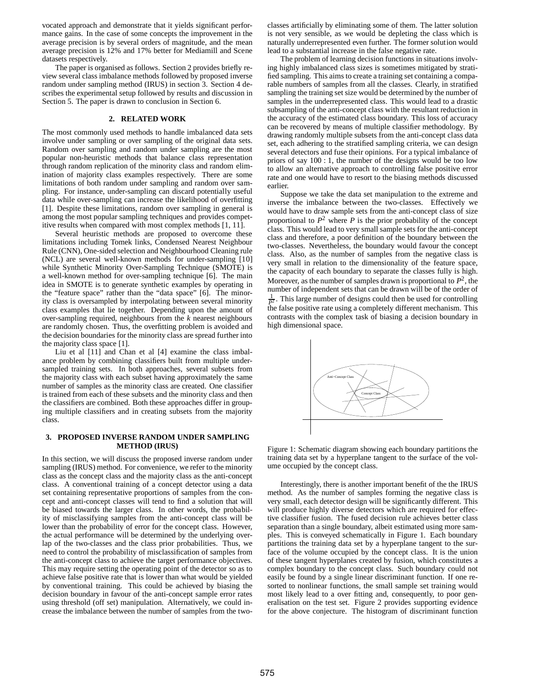vocated approach and demonstrate that it yields significant performance gains. In the case of some concepts the improvement in the average precision is by several orders of magnitude, and the mean average precision is 12% and 17% better for Mediamill and Scene datasets respectively.

The paper is organised as follows. Section 2 provides briefly review several class imbalance methods followed by proposed inverse random under sampling method (IRUS) in section 3. Section 4 describes the experimental setup followed by results and discussion in Section 5. The paper is drawn to conclusion in Section 6.

#### **2. RELATED WORK**

The most commonly used methods to handle imbalanced data sets involve under sampling or over sampling of the original data sets. Random over sampling and random under sampling are the most popular non-heuristic methods that balance class representation through random replication of the minority class and random elimination of majority class examples respectively. There are some limitations of both random under sampling and random over sampling. For instance, under-sampling can discard potentially useful data while over-sampling can increase the likelihood of overfitting [1]. Despite these limitations, random over sampling in general is among the most popular sampling techniques and provides competitive results when compared with most complex methods [1, 11].

Several heuristic methods are proposed to overcome these limitations including Tomek links, Condensed Nearest Neighbour Rule (CNN), One-sided selection and Neighbourhood Cleaning rule (NCL) are several well-known methods for under-sampling [10] while Synthetic Minority Over-Sampling Technique (SMOTE) is a well-known method for over-sampling technique [6]. The main idea in SMOTE is to generate synthetic examples by operating in the "feature space" rather than the "data space" [6]. The minority class is oversampled by interpolating between several minority class examples that lie together. Depending upon the amount of over-sampling required, neighbours from the *k* nearest neighbours are randomly chosen. Thus, the overfitting problem is avoided and the decision boundaries for the minority class are spread further into the majority class space [1].

Liu et al [11] and Chan et al [4] examine the class imbalance problem by combining classifiers built from multiple undersampled training sets. In both approaches, several subsets from the majority class with each subset having approximately the same number of samples as the minority class are created. One classifier is trained from each of these subsets and the minority class and then the classifiers are combined. Both these approaches differ in grouping multiple classifiers and in creating subsets from the majority class.

#### **3. PROPOSED INVERSE RANDOM UNDER SAMPLING METHOD (IRUS)**

In this section, we will discuss the proposed inverse random under sampling (IRUS) method. For convenience, we refer to the minority class as the concept class and the majority class as the anti-concept class. A conventional training of a concept detector using a data set containing representative proportions of samples from the concept and anti-concept classes will tend to find a solution that will be biased towards the larger class. In other words, the probability of misclassifying samples from the anti-concept class will be lower than the probability of error for the concept class. However, the actual performance will be determined by the underlying overlap of the two-classes and the class prior probabilities. Thus, we need to control the probability of misclassification of samples from the anti-concept class to achieve the target performance objectives. This may require setting the operating point of the detector so as to achieve false positive rate that is lower than what would be yielded by conventional training. This could be achieved by biasing the decision boundary in favour of the anti-concept sample error rates using threshold (off set) manipulation. Alternatively, we could increase the imbalance between the number of samples from the twoclasses artificially by eliminating some of them. The latter solution is not very sensible, as we would be depleting the class which is naturally underrepresented even further. The former solution would lead to a substantial increase in the false negative rate.

The problem of learning decision functions in situations involving highly imbalanced class sizes is sometimes mitigated by stratified sampling. This aims to create a training set containing a comparable numbers of samples from all the classes. Clearly, in stratified sampling the training set size would be determined by the number of samples in the underrepresented class. This would lead to a drastic subsampling of the anti-concept class with the resultant reduction in the accuracy of the estimated class boundary. This loss of accuracy can be recovered by means of multiple classifier methodology. By drawing randomly multiple subsets from the anti-concept class data set, each adhering to the stratified sampling criteria, we can design several detectors and fuse their opinions. For a typical imbalance of priors of say 100 : 1, the number of the designs would be too low to allow an alternative approach to controlling false positive error rate and one would have to resort to the biasing methods discussed earlier.

Suppose we take the data set manipulation to the extreme and inverse the imbalance between the two-classes. Effectively we would have to draw sample sets from the anti-concept class of size proportional to  $P^2$  where P is the prior probability of the concept class. This would lead to very small sample sets for the anti-concept class and therefore, a poor definition of the boundary between the two-classes. Nevertheless, the boundary would favour the concept class. Also, as the number of samples from the negative class is very small in relation to the dimensionality of the feature space, the capacity of each boundary to separate the classes fully is high. Moreover, as the number of samples drawn is proportional to  $P^2$ , the number of independent sets that can be drawn will be of the order of  $\frac{1}{P^2}$ . This large number of designs could then be used for controlling the false positive rate using a completely different mechanism. This contrasts with the complex task of biasing a decision boundary in high dimensional space.



Figure 1: Schematic diagram showing each boundary partitions the training data set by a hyperplane tangent to the surface of the volume occupied by the concept class.

Interestingly, there is another important benefit of the the IRUS method. As the number of samples forming the negative class is very small, each detector design will be significantly different. This will produce highly diverse detectors which are required for effective classifier fusion. The fused decision rule achieves better class separation than a single boundary, albeit estimated using more samples. This is conveyed schematically in Figure 1. Each boundary partitions the training data set by a hyperplane tangent to the surface of the volume occupied by the concept class. It is the union of these tangent hyperplanes created by fusion, which constitutes a complex boundary to the concept class. Such boundary could not easily be found by a single linear discriminant function. If one resorted to nonlinear functions, the small sample set training would most likely lead to a over fitting and, consequently, to poor generalisation on the test set. Figure 2 provides supporting evidence for the above conjecture. The histogram of discriminant function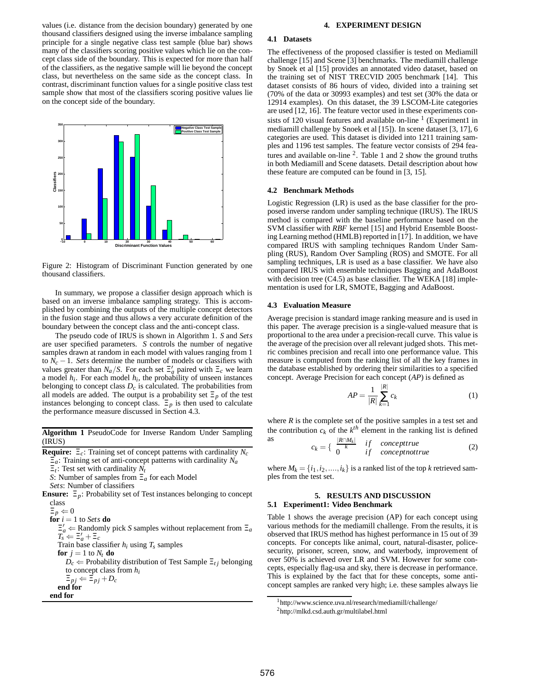values (i.e. distance from the decision boundary) generated by one thousand classifiers designed using the inverse imbalance sampling principle for a single negative class test sample (blue bar) shows many of the classifiers scoring positive values which lie on the concept class side of the boundary. This is expected for more than half of the classifiers, as the negative sample will lie beyond the concept class, but nevertheless on the same side as the concept class. In contrast, discriminant function values for a single positive class test sample show that most of the classifiers scoring positive values lie on the concept side of the boundary.



Figure 2: Histogram of Discriminant Function generated by one thousand classifiers.

In summary, we propose a classifier design approach which is based on an inverse imbalance sampling strategy. This is accomplished by combining the outputs of the multiple concept detectors in the fusion stage and thus allows a very accurate definition of the boundary between the concept class and the anti-concept class.

The pseudo code of IRUS is shown in Algorithm 1. *S* and *Sets* are user specified parameters. *S* controls the number of negative samples drawn at random in each model with values ranging from 1 to  $N_c - 1$ . *Sets* determine the number of models or classifiers with values greater than  $N_a/S$ . For each set  $\Xi'_a$  paired with  $\Xi_c$  we learn a model  $h_i$ . For each model  $h_i$ , the probability of unseen instances belonging to concept class  $D_c$  is calculated. The probabilities from all models are added. The output is a probability set  $\Xi_p$  of the test instances belonging to concept class.  $\Xi_p$  is then used to calculate the performance measure discussed in Section 4.3.

**Algorithm 1** PseudoCode for Inverse Random Under Sampling (IRUS)

- **Require:** Ξ*c*: Training set of concept patterns with cardinality *Nc* Ξ*a*: Training set of anti-concept patterns with cardinality *Na*
	-
	- Ξ*t* : Test set with cardinality *Nt S*: Number of samples from Ξ*a* for each Model
	- *Sets*: Number of classifiers
- **Ensure:**  $\Xi_p$ : Probability set of Test instances belonging to concept class

$$
\Xi_p \Leftarrow 0
$$

**for**  $i = 1$  to *Sets* **do** 

- $\Xi'_a \leftarrow$  Randomly pick *S* samples without replacement from  $\Xi_a$  $T_s \stackrel{\circ}{\Leftarrow} \Xi'_a + \Xi_c$ Train base classifier  $h_i$  using  $T_s$  samples
	- **for**  $j = 1$  to  $N_t$  **do**

 $D_c \leftarrow$  Probability distribution of Test Sample  $\Xi_{t,i}$  belonging to concept class from *h<sup>i</sup>*  $\Xi_{pj} \leftarrow \Xi_{pj} + D_c$ 

$$
end for
$$

**end for**

#### **4. EXPERIMENT DESIGN**

#### **4.1 Datasets**

The effectiveness of the proposed classifier is tested on Mediamill challenge [15] and Scene [3] benchmarks. The mediamill challenge by Snoek et al [15] provides an annotated video dataset, based on the training set of NIST TRECVID 2005 benchmark [14]. This dataset consists of 86 hours of video, divided into a training set (70% of the data or 30993 examples) and test set (30% the data or 12914 examples). On this dataset, the 39 LSCOM-Lite categories are used [12, 16]. The feature vector used in these experiments consists of 120 visual features and available on-line  $<sup>1</sup>$  (Experiment1 in</sup> mediamill challenge by Snoek et al [15]). In scene dataset [3, 17], 6 categories are used. This dataset is divided into 1211 training samples and 1196 test samples. The feature vector consists of 294 features and available on-line  $2$ . Table 1 and 2 show the ground truths in both Mediamill and Scene datasets. Detail description about how these feature are computed can be found in [3, 15].

#### **4.2 Benchmark Methods**

Logistic Regression (LR) is used as the base classifier for the proposed inverse random under sampling technique (IRUS). The IRUS method is compared with the baseline performance based on the SVM classifier with *RBF* kernel [15] and Hybrid Ensemble Boosting Learning method (HMLB) reported in [17]. In addition, we have compared IRUS with sampling techniques Random Under Sampling (RUS), Random Over Sampling (ROS) and SMOTE. For all sampling techniques, LR is used as a base classifier. We have also compared IRUS with ensemble techniques Bagging and AdaBoost with decision tree  $(C4.5)$  as base classifier. The WEKA [18] implementation is used for LR, SMOTE, Bagging and AdaBoost.

#### **4.3 Evaluation Measure**

Average precision is standard image ranking measure and is used in this paper. The average precision is a single-valued measure that is proportional to the area under a precision-recall curve. This value is the average of the precision over all relevant judged shots. This metric combines precision and recall into one performance value. This measure is computed from the ranking list of all the key frames in the database established by ordering their similarities to a specified concept. Average Precision for each concept (*AP*) is defined as

$$
AP = \frac{1}{|R|} \sum_{k=1}^{|R|} c_k
$$
 (1)

where  $R$  is the complete set of the positive samples in a test set and the contribution  $c_k$  of the  $k^{th}$  element in the ranking list is defined as

$$
c_k = \left\{ \begin{array}{ll} \frac{|R \cap M_k|}{k} & if \quad concept true \\ 0 & if \quad concept not true \end{array} \right. \tag{2}
$$

where  $M_k = \{i_1, i_2, \ldots, i_k\}$  is a ranked list of the top *k* retrieved samples from the test set.

## **5. RESULTS AND DISCUSSION 5.1 Experiment1: Video Benchmark**

Table 1 shows the average precision (AP) for each concept using various methods for the mediamill challenge. From the results, it is observed that IRUS method has highest performance in 15 out of 39 concepts. For concepts like animal, court, natural-disaster, policesecurity, prisoner, screen, snow, and waterbody, improvement of over 50% is achieved over LR and SVM. However for some concepts, especially flag-usa and sky, there is decrease in performance. This is explained by the fact that for these concepts, some anticoncept samples are ranked very high; i.e. these samples always lie

<sup>1</sup> http://www.science.uva.nl/research/mediamill/challenge/

<sup>2</sup>http://mlkd.csd.auth.gr/multilabel.html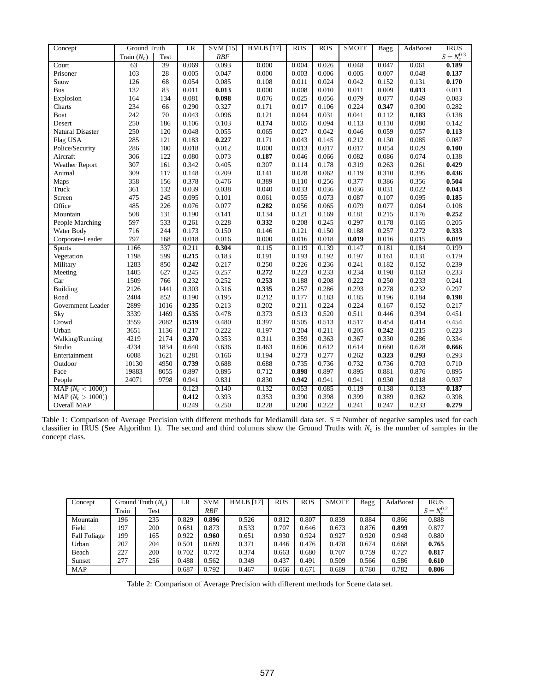| Concept              | <b>Ground Truth</b> |      | LR    | <b>SVM</b> [15] | <b>HMLB</b> [17] | <b>RUS</b> | ROS   | <b>SMOTE</b> | <b>Bagg</b> | AdaBoost | <b>IRUS</b>     |
|----------------------|---------------------|------|-------|-----------------|------------------|------------|-------|--------------|-------------|----------|-----------------|
|                      | Train $(N_c)$       | Test |       | RBF             |                  |            |       |              |             |          | $S = N_c^{0.3}$ |
| Court                | 63                  | 39   | 0.069 | 0.093           | 0.000            | 0.004      | 0.026 | 0.048        | 0.047       | 0.061    | 0.189           |
| Prisoner             | 103                 | 28   | 0.005 | 0.047           | 0.000            | 0.003      | 0.006 | 0.005        | 0.007       | 0.048    | 0.137           |
| Snow                 | 126                 | 68   | 0.054 | 0.085           | 0.108            | 0.011      | 0.024 | 0.042        | 0.152       | 0.131    | 0.170           |
| <b>Bus</b>           | 132                 | 83   | 0.011 | 0.013           | 0.000            | 0.008      | 0.010 | 0.011        | 0.009       | 0.013    | 0.011           |
| Explosion            | 164                 | 134  | 0.081 | 0.098           | 0.076            | 0.025      | 0.056 | 0.079        | 0.077       | 0.049    | 0.083           |
| Charts               | 234                 | 66   | 0.290 | 0.327           | 0.171            | 0.017      | 0.106 | 0.224        | 0.347       | 0.300    | 0.282           |
| Boat                 | 242                 | 70   | 0.043 | 0.096           | 0.121            | 0.044      | 0.031 | 0.041        | 0.112       | 0.183    | 0.138           |
| Desert               | 250                 | 186  | 0.106 | 0.103           | 0.174            | 0.065      | 0.094 | 0.113        | 0.110       | 0.080    | 0.142           |
| Natural Disaster     | 250                 | 120  | 0.048 | 0.055           | 0.065            | 0.027      | 0.042 | 0.046        | 0.059       | 0.057    | 0.113           |
| Flag USA             | 285                 | 121  | 0.183 | 0.227           | 0.171            | 0.043      | 0.145 | 0.212        | 0.130       | 0.085    | 0.087           |
| Police/Security      | 286                 | 100  | 0.018 | 0.012           | 0.000            | 0.013      | 0.017 | 0.017        | 0.054       | 0.029    | 0.100           |
| Aircraft             | 306                 | 122  | 0.080 | 0.073           | 0.187            | 0.046      | 0.066 | 0.082        | 0.086       | 0.074    | 0.138           |
| Weather Report       | 307                 | 161  | 0.342 | 0.405           | 0.307            | 0.114      | 0.178 | 0.319        | 0.263       | 0.261    | 0.429           |
| Animal               | 309                 | 117  | 0.148 | 0.209           | 0.141            | 0.028      | 0.062 | 0.119        | 0.310       | 0.395    | 0.436           |
| Maps                 | 358                 | 156  | 0.378 | 0.476           | 0.389            | 0.110      | 0.256 | 0.377        | 0.386       | 0.356    | 0.504           |
| Truck                | 361                 | 132  | 0.039 | 0.038           | 0.040            | 0.033      | 0.036 | 0.036        | 0.031       | 0.022    | 0.043           |
| Screen               | 475                 | 245  | 0.095 | 0.101           | 0.061            | 0.055      | 0.073 | 0.087        | 0.107       | 0.095    | 0.185           |
| Office               | 485                 | 226  | 0.076 | 0.077           | 0.282            | 0.056      | 0.065 | 0.079        | 0.077       | 0.064    | 0.108           |
| Mountain             | 508                 | 131  | 0.190 | 0.141           | 0.134            | 0.121      | 0.169 | 0.181        | 0.215       | 0.176    | 0.252           |
| People Marching      | 597                 | 533  | 0.261 | 0.228           | 0.332            | 0.208      | 0.245 | 0.297        | 0.178       | 0.165    | 0.205           |
| Water Body           | 716                 | 244  | 0.173 | 0.150           | 0.146            | 0.121      | 0.150 | 0.188        | 0.257       | 0.272    | 0.333           |
| Corporate-Leader     | 797                 | 168  | 0.018 | 0.016           | 0.000            | 0.016      | 0.018 | 0.019        | 0.016       | 0.015    | 0.019           |
| <b>Sports</b>        | 1166                | 337  | 0.211 | 0.304           | 0.115            | 0.119      | 0.139 | 0.147        | 0.181       | 0.184    | 0.199           |
| Vegetation           | 1198                | 599  | 0.215 | 0.183           | 0.191            | 0.193      | 0.192 | 0.197        | 0.161       | 0.131    | 0.179           |
| Military             | 1283                | 850  | 0.242 | 0.217           | 0.250            | 0.226      | 0.236 | 0.241        | 0.182       | 0.152    | 0.239           |
| Meeting              | 1405                | 627  | 0.245 | 0.257           | 0.272            | 0.223      | 0.233 | 0.234        | 0.198       | 0.163    | 0.233           |
| Car                  | 1509                | 766  | 0.232 | 0.252           | 0.253            | 0.188      | 0.208 | 0.222        | 0.250       | 0.233    | 0.241           |
| Building             | 2126                | 1441 | 0.303 | 0.316           | 0.335            | 0.257      | 0.286 | 0.293        | 0.278       | 0.232    | 0.297           |
| Road                 | 2404                | 852  | 0.190 | 0.195           | 0.212            | 0.177      | 0.183 | 0.185        | 0.196       | 0.184    | 0.198           |
| Government Leader    | 2899                | 1016 | 0.235 | 0.213           | 0.202            | 0.211      | 0.224 | 0.224        | 0.167       | 0.152    | 0.217           |
| Sky                  | 3339                | 1469 | 0.535 | 0.478           | 0.373            | 0.513      | 0.520 | 0.511        | 0.446       | 0.394    | 0.451           |
| Crowd                | 3559                | 2082 | 0.519 | 0.480           | 0.397            | 0.505      | 0.513 | 0.517        | 0.454       | 0.414    | 0.454           |
| Urban                | 3651                | 1136 | 0.217 | 0.222           | 0.197            | 0.204      | 0.211 | 0.205        | 0.242       | 0.215    | 0.223           |
| Walking/Running      | 4219                | 2174 | 0.370 | 0.353           | 0.311            | 0.359      | 0.363 | 0.367        | 0.330       | 0.286    | 0.334           |
| Studio               | 4234                | 1834 | 0.640 | 0.636           | 0.463            | 0.606      | 0.612 | 0.614        | 0.660       | 0.628    | 0.666           |
| Entertainment        | 6088                | 1621 | 0.281 | 0.166           | 0.194            | 0.273      | 0.277 | 0.262        | 0.323       | 0.293    | 0.293           |
| Outdoor              | 10130               | 4950 | 0.739 | 0.688           | 0.688            | 0.735      | 0.736 | 0.732        | 0.736       | 0.703    | 0.710           |
| Face                 | 19883               | 8055 | 0.897 | 0.895           | 0.712            | 0.898      | 0.897 | 0.895        | 0.881       | 0.876    | 0.895           |
| People               | 24071               | 9798 | 0.941 | 0.831           | 0.830            | 0.942      | 0.941 | 0.941        | 0.930       | 0.918    | 0.937           |
| MAP $(N_c < 1000)$ ) |                     |      | 0.123 | 0.140           | 0.132            | 0.053      | 0.085 | 0.119        | 0.138       | 0.133    | 0.187           |
| MAP $(N_c > 1000)$ ) |                     |      | 0.412 | 0.393           | 0.353            | 0.390      | 0.398 | 0.399        | 0.389       | 0.362    | 0.398           |
| Overall MAP          |                     |      | 0.249 | 0.250           | 0.228            | 0.200      | 0.222 | 0.241        | 0.247       | 0.233    | 0.279           |

Table 1: Comparison of Average Precision with different methods for Mediamill data set. *S* = Number of negative samples used for each classifier in IRUS (See Algorithm 1). The second and third columns show the Ground Truths with  $N_c$  is the number of samples in the concept class.

| Concept             | Ground Truth $(N_c)$ |      | LR    | <b>SVM</b> | <b>HMLB</b> [17] | <b>RUS</b> | <b>ROS</b> | <b>SMOTE</b> | Bagg  | AdaBoost | <b>IRUS</b>     |
|---------------------|----------------------|------|-------|------------|------------------|------------|------------|--------------|-------|----------|-----------------|
|                     | Train                | Test |       | RBF        |                  |            |            |              |       |          | $S = N_c^{0.2}$ |
| Mountain            | 196                  | 235  | 0.829 | 0.896      | 0.526            | 0.812      | 0.807      | 0.839        | 0.884 | 0.866    | 0.888           |
| Field               | 197                  | 200  | 0.681 | 0.873      | 0.533            | 0.707      | 0.646      | 0.673        | 0.876 | 0.899    | 0.877           |
| <b>Fall Foliage</b> | 199                  | 165  | 0.922 | 0.960      | 0.651            | 0.930      | 0.924      | 0.927        | 0.920 | 0.948    | 0.880           |
| Urban               | 207                  | 204  | 0.501 | 0.689      | 0.371            | 0.446      | 0.476      | 0.478        | 0.674 | 0.668    | 0.765           |
| Beach               | 227                  | 200  | 0.702 | 0.772      | 0.374            | 0.663      | 0.680      | 0.707        | 0.759 | 0.727    | 0.817           |
| Sunset              | 277                  | 256  | 0.488 | 0.562      | 0.349            | 0.437      | 0.491      | 0.509        | 0.566 | 0.586    | 0.610           |
| <b>MAP</b>          |                      |      | 0.687 | 0.792      | 0.467            | 0.666      | 0.671      | 0.689        | 0.780 | 0.782    | 0.806           |

Table 2: Comparison of Average Precision with different methods for Scene data set.